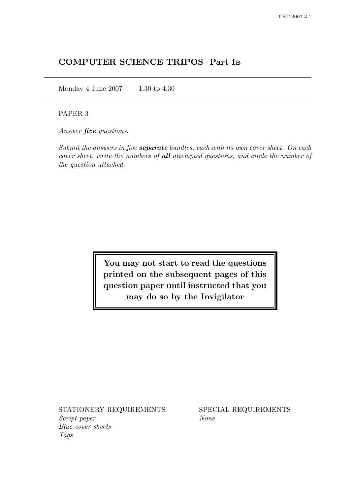# COMPUTER SCIENCE TRIPOS Part I<sup>B</sup>

Monday 4 June 2007 1.30 to 4.30

# PAPER 3

Answer **five** questions.

Submit the answers in five **separate** bundles, each with its own cover sheet. On each cover sheet, write the numbers of all attempted questions, and circle the number of the question attached.

> You may not start to read the questions printed on the subsequent pages of this question paper until instructed that you may do so by the Invigilator

STATIONERY REQUIREMENTS SPECIAL REQUIREMENTS Script paper None Blue cover sheets Tags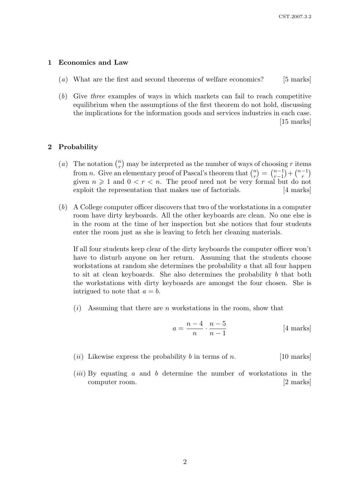#### 1 Economics and Law

- $(a)$  What are the first and second theorems of welfare economics? [5 marks]
- (b) Give three examples of ways in which markets can fail to reach competitive equilibrium when the assumptions of the first theorem do not hold, discussing the implications for the information goods and services industries in each case. [15 marks]

#### 2 Probability

- (*a*) The notation  $\binom{n}{r}$  $\binom{n}{r}$  may be interpreted as the number of ways of choosing r items from *n*. Give an elementary proof of Pascal's theorem that  $\binom{n}{r}$  $\binom{n}{r} = \binom{n-1}{r-1}$  $\binom{n-1}{r-1} + \binom{n-1}{r}$  $\genfrac{}{}{0pt}{}{r}{r}$ given  $n \geq 1$  and  $0 < r < n$ . The proof need not be very formal but do not exploit the representation that makes use of factorials. [4 marks]
- (b) A College computer officer discovers that two of the workstations in a computer room have dirty keyboards. All the other keyboards are clean. No one else is in the room at the time of her inspection but she notices that four students enter the room just as she is leaving to fetch her cleaning materials.

If all four students keep clear of the dirty keyboards the computer officer won't have to disturb anyone on her return. Assuming that the students choose workstations at random she determines the probability a that all four happen to sit at clean keyboards. She also determines the probability  $b$  that both the workstations with dirty keyboards are amongst the four chosen. She is intrigued to note that  $a = b$ .

 $(i)$  Assuming that there are n workstations in the room, show that

$$
a = \frac{n-4}{n} \cdot \frac{n-5}{n-1}
$$
 [4 marks]

- (*ii*) Likewise express the probability b in terms of n. [10 marks]
- $(iii)$  By equating a and b determine the number of workstations in the computer room. [2 marks]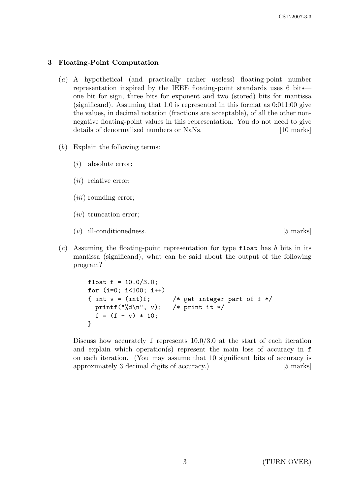## 3 Floating-Point Computation

- (a) A hypothetical (and practically rather useless) floating-point number representation inspired by the IEEE floating-point standards uses 6 bits one bit for sign, three bits for exponent and two (stored) bits for mantissa (significand). Assuming that 1.0 is represented in this format as 0:011:00 give the values, in decimal notation (fractions are acceptable), of all the other nonnegative floating-point values in this representation. You do not need to give details of denormalised numbers or NaNs. [10 marks]
- $(b)$  Explain the following terms:
	- (i) absolute error;
	- $(ii)$  relative error;
	- $(iii)$  rounding error:
	- $(iv)$  truncation error;
	- (v) ill-conditionedness. [5 marks]
- $(c)$  Assuming the floating-point representation for type float has b bits in its mantissa (significand), what can be said about the output of the following program?

```
float f = 10.0/3.0;
for (i=0; i<100; i++)
{ int v = (int)f; /* get integer part of f */printf("%d\n", v); /* print it */
  f = (f - v) * 10;}
```
Discuss how accurately  $f$  represents  $10.0/3.0$  at the start of each iteration and explain which operation(s) represent the main loss of accuracy in f on each iteration. (You may assume that 10 significant bits of accuracy is approximately 3 decimal digits of accuracy.) [5 marks]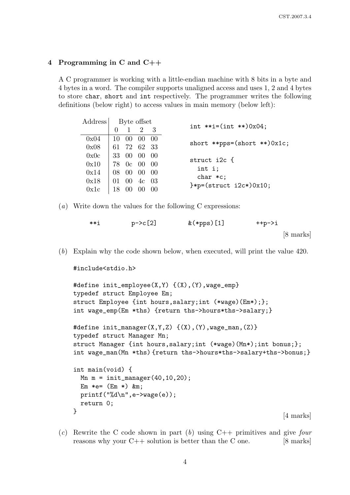## 4 Programming in C and C++

A C programmer is working with a little-endian machine with 8 bits in a byte and 4 bytes in a word. The compiler supports unaligned access and uses 1, 2 and 4 bytes to store char, short and int respectively. The programmer writes the following definitions (below right) to access values in main memory (below left):

| Address | Byte offset                                                                       |                 |                     |     |                                     |  |  |
|---------|-----------------------------------------------------------------------------------|-----------------|---------------------|-----|-------------------------------------|--|--|
|         |                                                                                   |                 | $1 \quad 2 \quad 3$ |     | int **i= $(int$ ** $)0x04;$         |  |  |
| 0x04    |                                                                                   |                 | 10 00 00 00         |     | short **pps= $(short **)0x1c;$      |  |  |
| 0x08    | 61 72 62 33                                                                       |                 |                     |     |                                     |  |  |
| 0x0c    | 33 00 00 00                                                                       |                 |                     |     | struct i2c {                        |  |  |
| 0x10    | $\frac{178}{0}$ 0c 00 00                                                          |                 |                     |     | int i;                              |  |  |
| 0x14    |                                                                                   |                 | 08 00 00 00         |     | $char *c;$                          |  |  |
| 0x18    | $\begin{array}{ccc} \begin{array}{ccc} 01 & 00 & 4c & 03 \end{array} \end{array}$ |                 |                     |     | $\frac{1}{2}$ = (struct i2c*) 0x10; |  |  |
| 0x1c    | 18                                                                                | 00 <sup>°</sup> |                     | -00 |                                     |  |  |

(a) Write down the values for the following C expressions:

| **i | $p - > c$ [2] | $&$ (*pps) [1] | $++ p-> i$          |  |
|-----|---------------|----------------|---------------------|--|
|     |               |                | $[8 \text{ marks}]$ |  |

(b) Explain why the code shown below, when executed, will print the value 420.

```
#include<stdio.h>
```

```
#define init_employee(X,Y) {(X),(Y),wage_emp}
typedef struct Employee Em;
struct Employee {int hours,salary;int (*wage)(Em*);};
int wage_emp(Em *ths) {return ths->hours*ths->salary;}
#define init_manager(X, Y, Z) \{(X), (Y), \text{wage\_man}, (Z)\}typedef struct Manager Mn;
struct Manager {int hours,salary;int (*wage)(Mn*);int bonus;};
int wage_man(Mn *ths) {return ths->hours*ths->salary+ths->bonus;}
int main(void) {
  Mn = init_name(40, 10, 20);Em *e= (Em *) &m;
  printf("%d\n",e->wage(e));
  return 0;
}
                                                           [4 marks]
```
(c) Rewrite the C code shown in part (b) using  $C++$  primitives and give four reasons why your  $C++$  solution is better than the C one. [8 marks]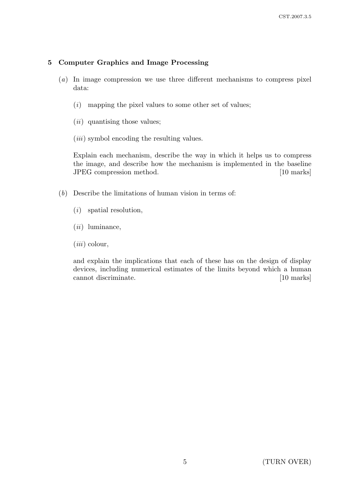# 5 Computer Graphics and Image Processing

- (a) In image compression we use three different mechanisms to compress pixel data:
	- $(i)$  mapping the pixel values to some other set of values;
	- $(ii)$  quantising those values;
	- (*iii*) symbol encoding the resulting values.

Explain each mechanism, describe the way in which it helps us to compress the image, and describe how the mechanism is implemented in the baseline JPEG compression method. [10 marks]

- (b) Describe the limitations of human vision in terms of:
	- (i) spatial resolution,
	- $(ii)$  luminance,
	- $(iii)$  colour,

and explain the implications that each of these has on the design of display devices, including numerical estimates of the limits beyond which a human cannot discriminate. [10 marks]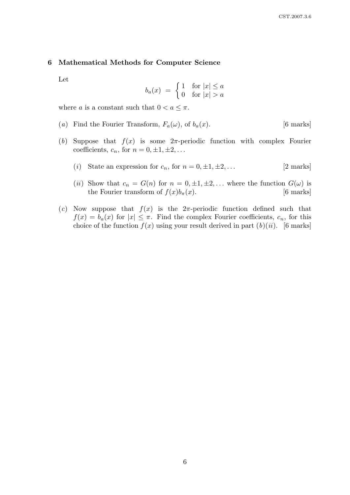#### 6 Mathematical Methods for Computer Science

Let

$$
b_a(x) = \begin{cases} 1 & \text{for } |x| \le a \\ 0 & \text{for } |x| > a \end{cases}
$$

where a is a constant such that  $0 < a \leq \pi$ .

- (a) Find the Fourier Transform,  $F_a(\omega)$ , of  $b_a(x)$ . [6 marks]
- (b) Suppose that  $f(x)$  is some  $2\pi$ -periodic function with complex Fourier coefficients,  $c_n$ , for  $n = 0, \pm 1, \pm 2, \ldots$ 
	- (i) State an expression for  $c_n$ , for  $n = 0, \pm 1, \pm 2, \ldots$  [2 marks]
	- (ii) Show that  $c_n = G(n)$  for  $n = 0, \pm 1, \pm 2, \ldots$  where the function  $G(\omega)$  is the Fourier transform of  $f(x)b_{\pi}(x)$ . [6 marks]
- (c) Now suppose that  $f(x)$  is the  $2\pi$ -periodic function defined such that  $f(x) = b_a(x)$  for  $|x| \leq \pi$ . Find the complex Fourier coefficients,  $c_n$ , for this choice of the function  $f(x)$  using your result derived in part  $(b)(ii)$ . [6 marks]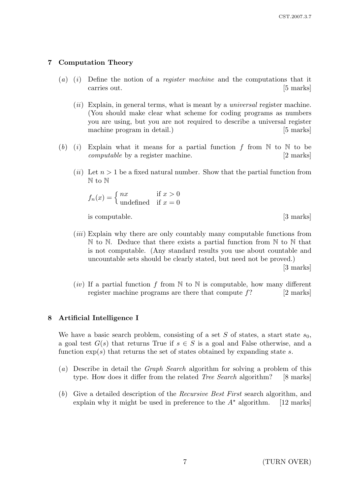# 7 Computation Theory

- (a) (i) Define the notion of a *register machine* and the computations that it carries out. [5 marks]
	- $(ii)$  Explain, in general terms, what is meant by a *universal* register machine. (You should make clear what scheme for coding programs as numbers you are using, but you are not required to describe a universal register machine program in detail.) [5 marks]
- (b) (i) Explain what it means for a partial function f from  $\mathbb N$  to  $\mathbb N$  to be computable by a register machine. [2 marks]
	- (ii) Let  $n > 1$  be a fixed natural number. Show that the partial function from N to N

$$
f_n(x) = \begin{cases} nx & \text{if } x > 0\\ \text{undefined} & \text{if } x = 0 \end{cases}
$$

is computable. [3 marks]

- (iii) Explain why there are only countably many computable functions from  $\mathbb N$  to  $\mathbb N$ . Deduce that there exists a partial function from  $\mathbb N$  to  $\mathbb N$  that is not computable. (Any standard results you use about countable and uncountable sets should be clearly stated, but need not be proved.) [3 marks]
- (*iv*) If a partial function f from  $\mathbb N$  to  $\mathbb N$  is computable, how many different register machine programs are there that compute  $f$ ? [2 marks]

## 8 Artificial Intelligence I

We have a basic search problem, consisting of a set S of states, a start state  $s_0$ , a goal test  $G(s)$  that returns True if  $s \in S$  is a goal and False otherwise, and a function  $\exp(s)$  that returns the set of states obtained by expanding state s.

- (a) Describe in detail the Graph Search algorithm for solving a problem of this type. How does it differ from the related *Tree Search* algorithm? [8 marks]
- (b) Give a detailed description of the Recursive Best First search algorithm, and explain why it might be used in preference to the  $A^*$  algorithm. [12 marks]